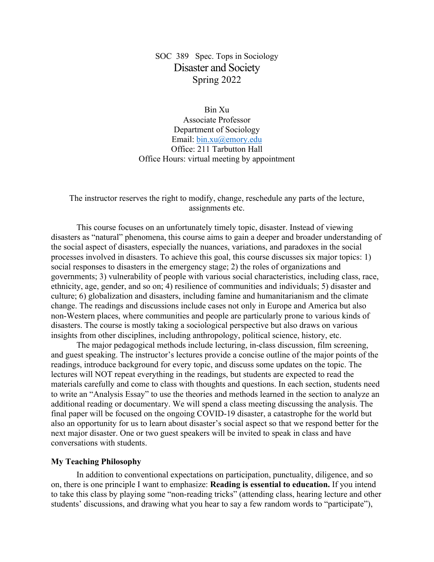# SOC 389 Spec. Tops in Sociology Disaster and Society Spring 2022

Bin Xu Associate Professor

Department of Sociology Email: bin.xu@emory.edu Office: 211 Tarbutton Hall Office Hours: virtual meeting by appointment

#### The instructor reserves the right to modify, change, reschedule any parts of the lecture, assignments etc.

This course focuses on an unfortunately timely topic, disaster. Instead of viewing disasters as "natural" phenomena, this course aims to gain a deeper and broader understanding of the social aspect of disasters, especially the nuances, variations, and paradoxes in the social processes involved in disasters. To achieve this goal, this course discusses six major topics: 1) social responses to disasters in the emergency stage; 2) the roles of organizations and governments; 3) vulnerability of people with various social characteristics, including class, race, ethnicity, age, gender, and so on; 4) resilience of communities and individuals; 5) disaster and culture; 6) globalization and disasters, including famine and humanitarianism and the climate change. The readings and discussions include cases not only in Europe and America but also non-Western places, where communities and people are particularly prone to various kinds of disasters. The course is mostly taking a sociological perspective but also draws on various insights from other disciplines, including anthropology, political science, history, etc.

The major pedagogical methods include lecturing, in-class discussion, film screening, and guest speaking. The instructor's lectures provide a concise outline of the major points of the readings, introduce background for every topic, and discuss some updates on the topic. The lectures will NOT repeat everything in the readings, but students are expected to read the materials carefully and come to class with thoughts and questions. In each section, students need to write an "Analysis Essay" to use the theories and methods learned in the section to analyze an additional reading or documentary. We will spend a class meeting discussing the analysis. The final paper will be focused on the ongoing COVID-19 disaster, a catastrophe for the world but also an opportunity for us to learn about disaster's social aspect so that we respond better for the next major disaster. One or two guest speakers will be invited to speak in class and have conversations with students.

#### **My Teaching Philosophy**

In addition to conventional expectations on participation, punctuality, diligence, and so on, there is one principle I want to emphasize: **Reading is essential to education.** If you intend to take this class by playing some "non-reading tricks" (attending class, hearing lecture and other students' discussions, and drawing what you hear to say a few random words to "participate"),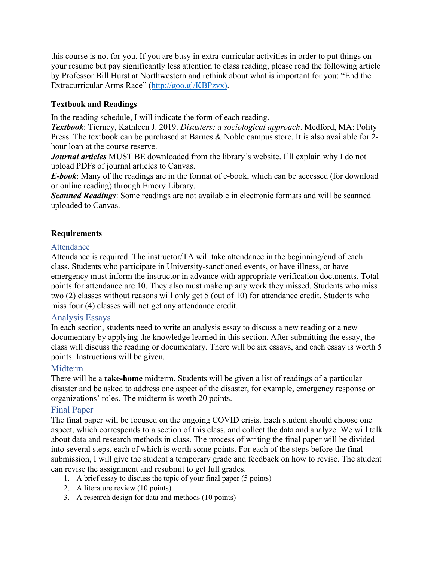this course is not for you. If you are busy in extra-curricular activities in order to put things on your resume but pay significantly less attention to class reading, please read the following article by Professor Bill Hurst at Northwestern and rethink about what is important for you: "End the Extracurricular Arms Race" (http://goo.gl/KBPzvx).

## **Textbook and Readings**

In the reading schedule, I will indicate the form of each reading.

*Textbook*: Tierney, Kathleen J. 2019. *Disasters: a sociological approach*. Medford, MA: Polity Press. The textbook can be purchased at Barnes & Noble campus store. It is also available for 2hour loan at the course reserve.

*Journal articles* MUST BE downloaded from the library's website. I'll explain why I do not upload PDFs of journal articles to Canvas.

*E-book*: Many of the readings are in the format of e-book, which can be accessed (for download or online reading) through Emory Library.

*Scanned Readings*: Some readings are not available in electronic formats and will be scanned uploaded to Canvas.

## **Requirements**

## **Attendance**

Attendance is required. The instructor/TA will take attendance in the beginning/end of each class. Students who participate in University-sanctioned events, or have illness, or have emergency must inform the instructor in advance with appropriate verification documents. Total points for attendance are 10. They also must make up any work they missed. Students who miss two (2) classes without reasons will only get 5 (out of 10) for attendance credit. Students who miss four (4) classes will not get any attendance credit.

## Analysis Essays

In each section, students need to write an analysis essay to discuss a new reading or a new documentary by applying the knowledge learned in this section. After submitting the essay, the class will discuss the reading or documentary. There will be six essays, and each essay is worth 5 points. Instructions will be given.

# Midterm

There will be a **take-home** midterm. Students will be given a list of readings of a particular disaster and be asked to address one aspect of the disaster, for example, emergency response or organizations' roles. The midterm is worth 20 points.

# Final Paper

The final paper will be focused on the ongoing COVID crisis. Each student should choose one aspect, which corresponds to a section of this class, and collect the data and analyze. We will talk about data and research methods in class. The process of writing the final paper will be divided into several steps, each of which is worth some points. For each of the steps before the final submission, I will give the student a temporary grade and feedback on how to revise. The student can revise the assignment and resubmit to get full grades.

- 1. A brief essay to discuss the topic of your final paper (5 points)
- 2. A literature review (10 points)
- 3. A research design for data and methods (10 points)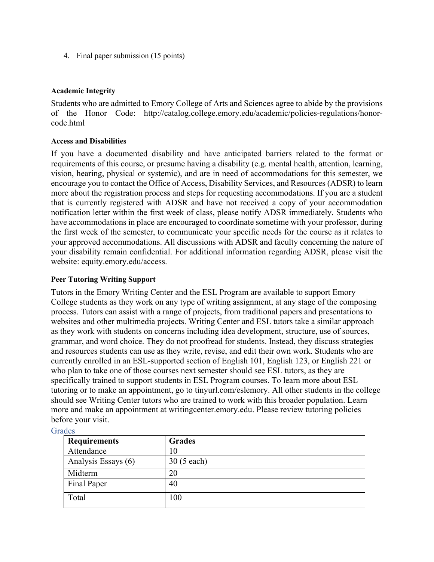4. Final paper submission (15 points)

## **Academic Integrity**

Students who are admitted to Emory College of Arts and Sciences agree to abide by the provisions of the Honor Code: http://catalog.college.emory.edu/academic/policies-regulations/honorcode.html

## **Access and Disabilities**

If you have a documented disability and have anticipated barriers related to the format or requirements of this course, or presume having a disability (e.g. mental health, attention, learning, vision, hearing, physical or systemic), and are in need of accommodations for this semester, we encourage you to contact the Office of Access, Disability Services, and Resources (ADSR) to learn more about the registration process and steps for requesting accommodations. If you are a student that is currently registered with ADSR and have not received a copy of your accommodation notification letter within the first week of class, please notify ADSR immediately. Students who have accommodations in place are encouraged to coordinate sometime with your professor, during the first week of the semester, to communicate your specific needs for the course as it relates to your approved accommodations. All discussions with ADSR and faculty concerning the nature of your disability remain confidential. For additional information regarding ADSR, please visit the website: equity.emory.edu/access.

## **Peer Tutoring Writing Support**

Tutors in the Emory Writing Center and the ESL Program are available to support Emory College students as they work on any type of writing assignment, at any stage of the composing process. Tutors can assist with a range of projects, from traditional papers and presentations to websites and other multimedia projects. Writing Center and ESL tutors take a similar approach as they work with students on concerns including idea development, structure, use of sources, grammar, and word choice. They do not proofread for students. Instead, they discuss strategies and resources students can use as they write, revise, and edit their own work. Students who are currently enrolled in an ESL-supported section of English 101, English 123, or English 221 or who plan to take one of those courses next semester should see ESL tutors, as they are specifically trained to support students in ESL Program courses. To learn more about ESL tutoring or to make an appointment, go to tinyurl.com/eslemory. All other students in the college should see Writing Center tutors who are trained to work with this broader population. Learn more and make an appointment at writingcenter.emory.edu. Please review tutoring policies before your visit.

| <b>Requirements</b> | <b>Grades</b> |
|---------------------|---------------|
| Attendance          | 10            |
| Analysis Essays (6) | 30 (5 each)   |
| Midterm             | 20            |
| Final Paper         | 40            |
| Total               | 100           |

## **Grades**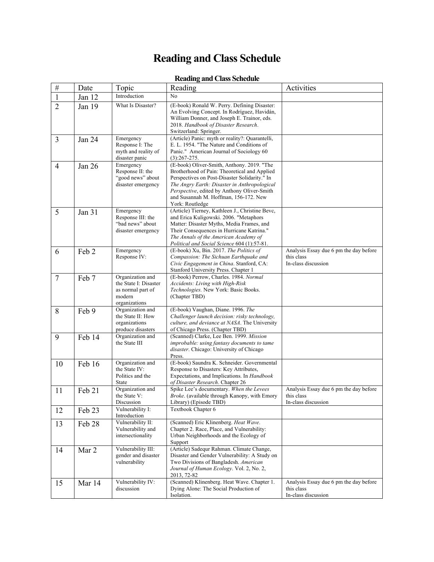# **Reading and Class Schedule**

## **Reading and Class Schedule**

| $\#$           | Date   | Topic                                                                                     | Reading                                                                                                                                                                                                                                                                                                | Activities                                                                  |
|----------------|--------|-------------------------------------------------------------------------------------------|--------------------------------------------------------------------------------------------------------------------------------------------------------------------------------------------------------------------------------------------------------------------------------------------------------|-----------------------------------------------------------------------------|
| 1              | Jan 12 | Introduction                                                                              | No                                                                                                                                                                                                                                                                                                     |                                                                             |
| $\overline{2}$ | Jan 19 | What Is Disaster?                                                                         | (E-book) Ronald W. Perry. Defining Disaster:<br>An Evolving Concept. In Rodríguez, Havidán,<br>William Donner, and Joseph E. Trainor, eds.<br>2018. Handbook of Disaster Research.<br>Switzerland: Springer.                                                                                           |                                                                             |
| 3              | Jan 24 | Emergency<br>Response I: The<br>myth and reality of<br>disaster panic                     | (Article) Panic: myth or reality?: Quarantelli,<br>E. L. 1954. "The Nature and Conditions of<br>Panic." American Journal of Sociology 60<br>$(3):267-275.$                                                                                                                                             |                                                                             |
| $\overline{4}$ | Jan 26 | Emergency<br>Response II: the<br>"good news" about<br>disaster emergency                  | (E-book) Oliver-Smith, Anthony. 2019. "The<br>Brotherhood of Pain: Theoretical and Applied<br>Perspectives on Post-Disaster Solidarity." In<br>The Angry Earth: Disaster in Anthropological<br>Perspective, edited by Anthony Oliver-Smith<br>and Susannah M. Hoffman, 156-172. New<br>York: Routledge |                                                                             |
| 5              | Jan 31 | Emergency<br>Response III: the<br>"bad news" about<br>disaster emergency                  | (Article) Tierney, Kathleen J., Christine Bevc,<br>and Erica Kuligowski. 2006. "Metaphors<br>Matter: Disaster Myths, Media Frames, and<br>Their Consequences in Hurricane Katrina."<br>The Annals of the American Academy of<br>Political and Social Science 604 (1):57-81.                            |                                                                             |
| 6              | Feb 2  | Emergency<br>Response IV:                                                                 | (E-book) Xu, Bin. 2017. The Politics of<br>Compassion: The Sichuan Earthquake and<br>Civic Engagement in China. Stanford, CA:<br>Stanford University Press. Chapter 1                                                                                                                                  | Analysis Essay due 6 pm the day before<br>this class<br>In-class discussion |
| $\tau$         | Feb 7  | Organization and<br>the State I: Disaster<br>as normal part of<br>modern<br>organizations | (E-book) Perrow, Charles. 1984. Normal<br>Accidents: Living with High-Risk<br>Technologies. New York: Basic Books.<br>(Chapter TBD)                                                                                                                                                                    |                                                                             |
| 8              | Feb 9  | Organization and<br>the State II: How<br>organizations<br>produce disasters               | (E-book) Vaughan, Diane. 1996. The<br>Challenger launch decision: risky technology,<br>culture, and deviance at NASA. The University<br>of Chicago Press. (Chapter TBD)                                                                                                                                |                                                                             |
| 9              | Feb 14 | Organization and<br>the State III                                                         | (Scanned) Clarke, Lee Ben. 1999. Mission<br>improbable: using fantasy documents to tame<br>disaster. Chicago: University of Chicago<br>Press.                                                                                                                                                          |                                                                             |
| 10             | Feb 16 | Organization and<br>the State IV:<br>Politics and the<br>State                            | (E-book) Saundra K. Schneider. Governmental<br>Response to Disasters: Key Attributes,<br>Expectations, and Implications. In Handbook<br>of Disaster Research. Chapter 26                                                                                                                               |                                                                             |
| 11             | Feb 21 | Organization and<br>the State V:<br>Discussion                                            | Spike Lee's documentary. When the Levees<br>Broke. (available through Kanopy, with Emory<br>Library) (Episode TBD)                                                                                                                                                                                     | Analysis Essay due 6 pm the day before<br>this class<br>In-class discussion |
| 12             | Feb 23 | Vulnerability I:<br>Introduction                                                          | Textbook Chapter 6                                                                                                                                                                                                                                                                                     |                                                                             |
| 13             | Feb 28 | Vulnerability II:<br>Vulnerability and<br>intersectionality                               | (Scanned) Eric Klinenberg. Heat Wave.<br>Chapter 2. Race, Place, and Vulnerability:<br>Urban Neighborhoods and the Ecology of<br>Support                                                                                                                                                               |                                                                             |
| 14             | Mar 2  | Vulnerability III:<br>gender and disaster<br>vulnerability                                | (Article) Sadequr Rahman. Climate Change,<br>Disaster and Gender Vulnerability: A Study on<br>Two Divisions of Bangladesh. American<br>Journal of Human Ecology. Vol. 2, No. 2,<br>2013, 72-82                                                                                                         |                                                                             |
| 15             | Mar 14 | Vulnerability IV:<br>discussion                                                           | (Scanned) Klinenberg. Heat Wave. Chapter 1.<br>Dying Alone: The Social Production of<br>Isolation.                                                                                                                                                                                                     | Analysis Essay due 6 pm the day before<br>this class<br>In-class discussion |